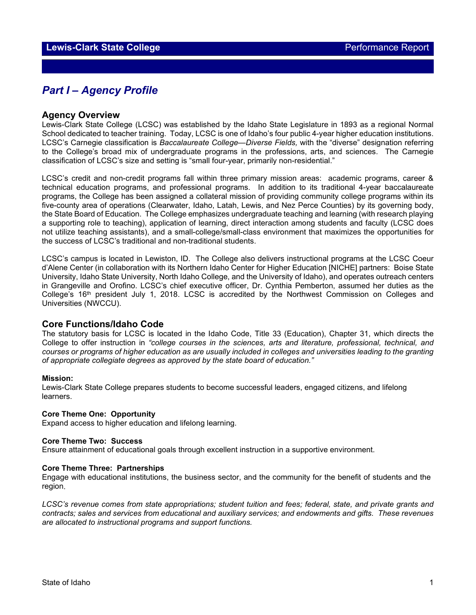## *Part I – Agency Profile*

### **Agency Overview**

Lewis-Clark State College (LCSC) was established by the Idaho State Legislature in 1893 as a regional Normal School dedicated to teacher training. Today, LCSC is one of Idaho's four public 4-year higher education institutions. LCSC's Carnegie classification is *Baccalaureate College—Diverse Fields,* with the "diverse" designation referring to the College's broad mix of undergraduate programs in the professions, arts, and sciences. The Carnegie classification of LCSC's size and setting is "small four-year, primarily non-residential."

LCSC's credit and non-credit programs fall within three primary mission areas: academic programs, career & technical education programs, and professional programs. In addition to its traditional 4-year baccalaureate programs, the College has been assigned a collateral mission of providing community college programs within its five-county area of operations (Clearwater, Idaho, Latah, Lewis, and Nez Perce Counties) by its governing body, the State Board of Education. The College emphasizes undergraduate teaching and learning (with research playing a supporting role to teaching), application of learning, direct interaction among students and faculty (LCSC does not utilize teaching assistants), and a small-college/small-class environment that maximizes the opportunities for the success of LCSC's traditional and non-traditional students.

LCSC's campus is located in Lewiston, ID. The College also delivers instructional programs at the LCSC Coeur d'Alene Center (in collaboration with its Northern Idaho Center for Higher Education [NICHE] partners: Boise State University, Idaho State University, North Idaho College, and the University of Idaho), and operates outreach centers in Grangeville and Orofino. LCSC's chief executive officer, Dr. Cynthia Pemberton, assumed her duties as the College's 16<sup>th</sup> president July 1, 2018. LCSC is accredited by the Northwest Commission on Colleges and Universities (NWCCU).

## **Core Functions/Idaho Code**

The statutory basis for LCSC is located in the Idaho Code, Title 33 (Education), Chapter 31, which directs the College to offer instruction in *"college courses in the sciences, arts and literature, professional, technical, and courses or programs of higher education as are usually included in colleges and universities leading to the granting of appropriate collegiate degrees as approved by the state board of education."* 

#### **Mission:**

Lewis-Clark State College prepares students to become successful leaders, engaged citizens, and lifelong learners.

#### **Core Theme One: Opportunity**

Expand access to higher education and lifelong learning.

#### **Core Theme Two: Success**

Ensure attainment of educational goals through excellent instruction in a supportive environment.

#### **Core Theme Three: Partnerships**

Engage with educational institutions, the business sector, and the community for the benefit of students and the region.

*LCSC's revenue comes from state appropriations; student tuition and fees; federal, state, and private grants and contracts; sales and services from educational and auxiliary services; and endowments and gifts. These revenues are allocated to instructional programs and support functions.*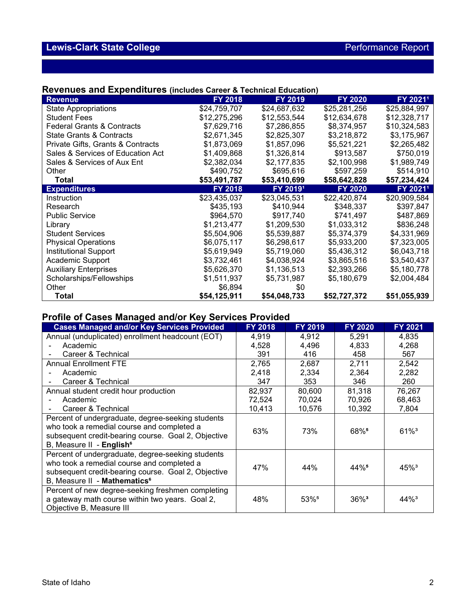## **Revenues and Expenditures (includes Career & Technical Education)**

| <b>Revenue</b>                        | FY 2018        | FY 2019      | <b>FY 2020</b> | FY 20211             |
|---------------------------------------|----------------|--------------|----------------|----------------------|
| <b>State Appropriations</b>           | \$24,759,707   | \$24,687,632 | \$25,281,256   | \$25,884,997         |
| <b>Student Fees</b>                   | \$12,275,296   | \$12,553,544 | \$12,634,678   | \$12,328,717         |
| <b>Federal Grants &amp; Contracts</b> | \$7,629,716    | \$7,286,855  | \$8,374,957    | \$10,324,583         |
| <b>State Grants &amp; Contracts</b>   | \$2,671,345    | \$2,825,307  | \$3,218,872    | \$3,175,967          |
| Private Gifts, Grants & Contracts     | \$1,873,069    | \$1,857,096  | \$5,521,221    | \$2,265,482          |
| Sales & Services of Education Act     | \$1,409,868    | \$1,326,814  | \$913,587      | \$750,019            |
| Sales & Services of Aux Ent           | \$2,382,034    | \$2,177,835  | \$2,100,998    | \$1,989,749          |
| Other                                 | \$490,752      | \$695,616    | \$597,259      | \$514,910            |
| <b>Total</b>                          | \$53,491,787   | \$53,410,699 | \$58,642,828   | \$57,234,424         |
| <b>Expenditures</b>                   | <b>FY 2018</b> | FY 20191     | <b>FY 2020</b> | FY 2021 <sup>1</sup> |
| Instruction                           | \$23,435,037   | \$23,045,531 | \$22,420,874   | \$20,909,584         |
| Research                              | \$435,193      | \$410,944    | \$348,337      | \$397,847            |
| <b>Public Service</b>                 | \$964.570      | \$917,740    | \$741,497      | \$487,869            |
| Library                               | \$1,213,477    | \$1,209,530  | \$1,033,312    | \$836,248            |
| <b>Student Services</b>               | \$5,504,906    | \$5,539,887  | \$5,374,379    | \$4,331,969          |
| <b>Physical Operations</b>            | \$6,075,117    | \$6,298,617  | \$5,933,200    | \$7,323,005          |
| <b>Institutional Support</b>          | \$5,619,949    | \$5,719,060  | \$5,436,312    | \$6,043,718          |
| Academic Support                      | \$3,732,461    | \$4,038,924  | \$3,865,516    | \$3,540,437          |
| <b>Auxiliary Enterprises</b>          | \$5,626,370    | \$1,136,513  | \$2,393,266    | \$5,180,778          |
| Scholarships/Fellowships              | \$1,511,937    | \$5,731,987  | \$5,180,679    | \$2,004,484          |
| Other                                 | \$6,894        | \$0          |                |                      |
| <b>Total</b>                          | \$54,125,911   | \$54,048,733 | \$52,727,372   | \$51,055,939         |

## **Profile of Cases Managed and/or Key Services Provided**

| <b>Cases Managed and/or Key Services Provided</b>                                                                                                                                                  | FY 2018 | FY 2019          | <b>FY 2020</b>      | <b>FY 2021</b>      |
|----------------------------------------------------------------------------------------------------------------------------------------------------------------------------------------------------|---------|------------------|---------------------|---------------------|
| Annual (unduplicated) enrollment headcount (EOT)                                                                                                                                                   | 4,919   | 4,912            | 5,291               | 4,835               |
| Academic                                                                                                                                                                                           | 4,528   | 4,496            | 4,833               | 4,268               |
| Career & Technical                                                                                                                                                                                 | 391     | 416              | 458                 | 567                 |
| <b>Annual Enrollment FTE</b>                                                                                                                                                                       | 2,765   | 2,687            | 2,711               | 2,542               |
| Academic                                                                                                                                                                                           | 2,418   | 2,334            | 2,364               | 2,282               |
| Career & Technical                                                                                                                                                                                 | 347     | 353              | 346                 | 260                 |
| Annual student credit hour production                                                                                                                                                              | 82,937  | 80,600           | 81,318              | 76,267              |
| Academic                                                                                                                                                                                           | 72,524  | 70,024           | 70,926              | 68,463              |
| Career & Technical                                                                                                                                                                                 | 10,413  | 10,576           | 10,392              | 7,804               |
| Percent of undergraduate, degree-seeking students<br>who took a remedial course and completed a<br>subsequent credit-bearing course. Goal 2, Objective<br>B, Measure II - English <sup>6</sup>     | 63%     | 73%              | 68%                 | $61\%$ <sup>3</sup> |
| Percent of undergraduate, degree-seeking students<br>who took a remedial course and completed a<br>subsequent credit-bearing course. Goal 2, Objective<br>B, Measure II - Mathematics <sup>6</sup> | 47%     | 44%              | 44%                 | $45\%$ <sup>3</sup> |
| Percent of new degree-seeking freshmen completing<br>a gateway math course within two years. Goal 2,<br>Objective B, Measure III                                                                   | 48%     | 53% <sup>5</sup> | $36\%$ <sup>3</sup> | $44\%$ <sup>3</sup> |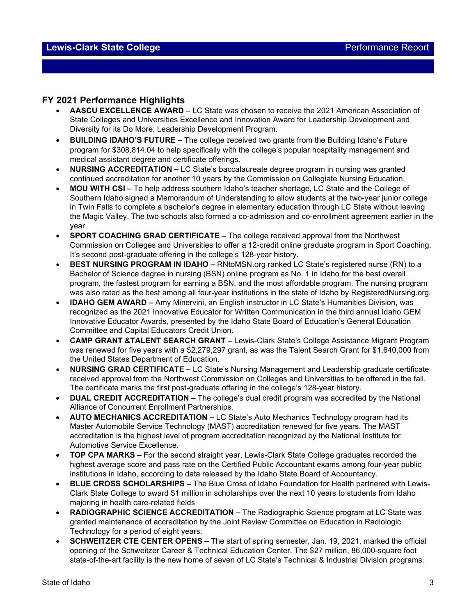## **FY 2021 Performance Highlights**

- **AASCU EXCELLENCE AWARD** LC State was chosen to receive the 2021 American Association of State Colleges and Universities Excellence and Innovation Award for Leadership Development and Diversity for its Do More: Leadership Development Program.
- **BUILDING IDAHO'S FUTURE –** The college received two grants from the Building Idaho's Future program for \$308,814.04 to help specifically with the college's popular hospitality management and medical assistant degree and certificate offerings.
- **NURSING ACCREDITATION –** LC State's baccalaureate degree program in nursing was granted continued accreditation for another 10 years by the Commission on Collegiate Nursing Education.
- **MOU WITH CSI –** To help address southern Idaho's teacher shortage, LC State and the College of Southern Idaho signed a Memorandum of Understanding to allow students at the two-year junior college in Twin Falls to complete a bachelor's degree in elementary education through LC State without leaving the Magic Valley. The two schools also formed a co-admission and co-enrollment agreement earlier in the year.
- **SPORT COACHING GRAD CERTIFICATE –** The college received approval from the Northwest Commission on Colleges and Universities to offer a 12-credit online graduate program in Sport Coaching. It's second post-graduate offering in the college's 128-year history.
- **BEST NURSING PROGRAM IN IDAHO –** RNtoMSN.org ranked LC State's registered nurse (RN) to a Bachelor of Science degree in nursing (BSN) online program as No. 1 in Idaho for the best overall program, the fastest program for earning a BSN, and the most affordable program. The nursing program was also rated as the best among all four-year institutions in the state of Idaho by RegisteredNursing.org.
- **IDAHO GEM AWARD –** Amy Minervini, an English instructor in LC State's Humanities Division, was recognized as the 2021 Innovative Educator for Written Communication in the third annual Idaho GEM Innovative Educator Awards, presented by the Idaho State Board of Education's General Education Committee and Capital Educators Credit Union.
- **CAMP GRANT &TALENT SEARCH GRANT –** Lewis-Clark State's College Assistance Migrant Program was renewed for five years with a \$2,279,297 grant, as was the Talent Search Grant for \$1,640,000 from the United States Department of Education.
- **NURSING GRAD CERTIFICATE –** LC State's Nursing Management and Leadership graduate certificate received approval from the Northwest Commission on Colleges and Universities to be offered in the fall. The certificate marks the first post-graduate offering in the college's 128-year history.
- **DUAL CREDIT ACCREDITATION –** The college's dual credit program was accredited by the National Alliance of Concurrent Enrollment Partnerships.
- **AUTO MECHANICS ACCREDITATION –** LC State's Auto Mechanics Technology program had its Master Automobile Service Technology (MAST) accreditation renewed for five years. The MAST accreditation is the highest level of program accreditation recognized by the National Institute for Automotive Service Excellence.
- **TOP CPA MARKS –** For the second straight year, Lewis-Clark State College graduates recorded the highest average score and pass rate on the Certified Public Accountant exams among four-year public institutions in Idaho, according to data released by the Idaho State Board of Accountancy.
- **BLUE CROSS SCHOLARSHIPS –** The Blue Cross of Idaho Foundation for Health partnered with Lewis-Clark State College to award \$1 million in scholarships over the next 10 years to students from Idaho majoring in health care-related fields
- **RADIOGRAPHIC SCIENCE ACCREDITATION –** The Radiographic Science program at LC State was granted maintenance of accreditation by the Joint Review Committee on Education in Radiologic Technology for a period of eight years.
- **SCHWEITZER CTE CENTER OPENS –** The start of spring semester, Jan. 19, 2021, marked the official opening of the Schweitzer Career & Technical Education Center. The \$27 million, 86,000-square foot state-of-the-art facility is the new home of seven of LC State's Technical & Industrial Division programs.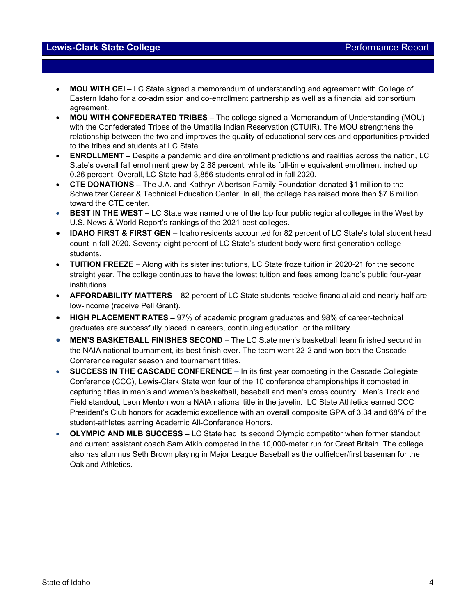## **Lewis-Clark State College** Performance Report

- **MOU WITH CEI –** LC State signed a memorandum of understanding and agreement with College of Eastern Idaho for a co-admission and co-enrollment partnership as well as a financial aid consortium agreement.
- **MOU WITH CONFEDERATED TRIBES –** The college signed a Memorandum of Understanding (MOU) with the Confederated Tribes of the Umatilla Indian Reservation (CTUIR). The MOU strengthens the relationship between the two and improves the quality of educational services and opportunities provided to the tribes and students at LC State.
- **ENROLLMENT –** Despite a pandemic and dire enrollment predictions and realities across the nation, LC State's overall fall enrollment grew by 2.88 percent, while its full-time equivalent enrollment inched up 0.26 percent. Overall, LC State had 3,856 students enrolled in fall 2020.
- **CTE DONATIONS –** The J.A. and Kathryn Albertson Family Foundation donated \$1 million to the Schweitzer Career & Technical Education Center. In all, the college has raised more than \$7.6 million toward the CTE center.
- **BEST IN THE WEST –** LC State was named one of the top four public regional colleges in the West by U.S. News & World Report's rankings of the 2021 best colleges.
- **IDAHO FIRST & FIRST GEN**  Idaho residents accounted for 82 percent of LC State's total student head count in fall 2020. Seventy-eight percent of LC State's student body were first generation college students.
- **TUITION FREEZE**  Along with its sister institutions, LC State froze tuition in 2020-21 for the second straight year. The college continues to have the lowest tuition and fees among Idaho's public four-year institutions.
- **AFFORDABILITY MATTERS**  82 percent of LC State students receive financial aid and nearly half are low-income (receive Pell Grant).
- **HIGH PLACEMENT RATES –** 97% of academic program graduates and 98% of career-technical graduates are successfully placed in careers, continuing education, or the military.
- **MEN'S BASKETBALL FINISHES SECOND**  The LC State men's basketball team finished second in the NAIA national tournament, its best finish ever. The team went 22-2 and won both the Cascade Conference regular season and tournament titles.
- **SUCCESS IN THE CASCADE CONFERENCE**  In its first year competing in the Cascade Collegiate Conference (CCC), Lewis-Clark State won four of the 10 conference championships it competed in, capturing titles in men's and women's basketball, baseball and men's cross country. Men's Track and Field standout, Leon Menton won a NAIA national title in the javelin. LC State Athletics earned CCC President's Club honors for academic excellence with an overall composite GPA of 3.34 and 68% of the student-athletes earning Academic All-Conference Honors.
- **OLYMPIC AND MLB SUCCESS –** LC State had its second Olympic competitor when former standout and current assistant coach Sam Atkin competed in the 10,000-meter run for Great Britain. The college also has alumnus Seth Brown playing in Major League Baseball as the outfielder/first baseman for the Oakland Athletics.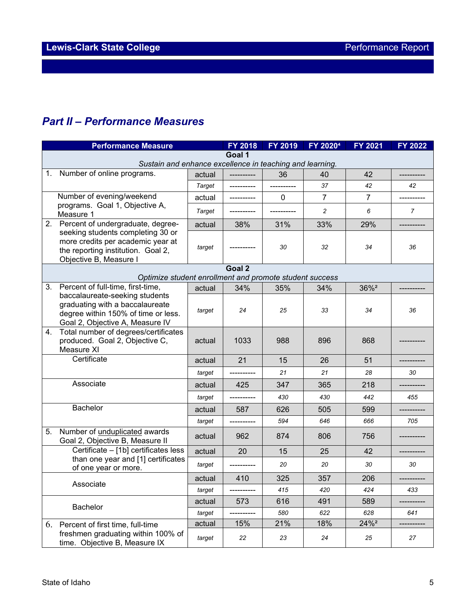# *Part II – Performance Measures*

|                                                                    | <b>Performance Measure</b>                                                                                                                  |        | <b>FY 2018</b> | FY 2019      | FY 2020 <sup>4</sup> | FY 2021          | <b>FY 2022</b> |  |  |
|--------------------------------------------------------------------|---------------------------------------------------------------------------------------------------------------------------------------------|--------|----------------|--------------|----------------------|------------------|----------------|--|--|
| Goal 1<br>Sustain and enhance excellence in teaching and learning. |                                                                                                                                             |        |                |              |                      |                  |                |  |  |
|                                                                    |                                                                                                                                             |        |                |              |                      |                  |                |  |  |
| 1.                                                                 | Number of online programs.                                                                                                                  | actual |                | 36           | 40                   | 42               |                |  |  |
|                                                                    |                                                                                                                                             | Target | ----------     |              | 37                   | 42               | 42             |  |  |
|                                                                    | Number of evening/weekend                                                                                                                   | actual |                | $\mathbf{0}$ | $\overline{7}$       | $\overline{7}$   |                |  |  |
|                                                                    | programs. Goal 1, Objective A,<br>Measure 1                                                                                                 | Target |                |              | 2                    | 6                | $\overline{7}$ |  |  |
|                                                                    | 2. Percent of undergraduate, degree-                                                                                                        | actual | 38%            | 31%          | 33%                  | 29%              |                |  |  |
|                                                                    | seeking students completing 30 or<br>more credits per academic year at<br>the reporting institution. Goal 2,<br>Objective B, Measure I      | target |                | 30           | 32                   | 34               | 36             |  |  |
|                                                                    |                                                                                                                                             |        | Goal 2         |              |                      |                  |                |  |  |
|                                                                    | Optimize student enrollment and promote student success                                                                                     |        |                |              |                      |                  |                |  |  |
| 3.                                                                 | Percent of full-time, first-time,                                                                                                           | actual | 34%            | 35%          | 34%                  | 36% <sup>2</sup> |                |  |  |
|                                                                    | baccalaureate-seeking students<br>graduating with a baccalaureate<br>degree within 150% of time or less.<br>Goal 2, Objective A, Measure IV | target | 24             | 25           | 33                   | 34               | 36             |  |  |
| 4.                                                                 | Total number of degrees/certificates<br>produced. Goal 2, Objective C,<br>Measure XI                                                        | actual | 1033           | 988          | 896                  | 868              |                |  |  |
|                                                                    | Certificate                                                                                                                                 | actual | 21             | 15           | 26                   | 51               |                |  |  |
|                                                                    |                                                                                                                                             | target |                | 21           | 21                   | 28               | 30             |  |  |
|                                                                    | Associate                                                                                                                                   | actual | 425            | 347          | 365                  | 218              |                |  |  |
|                                                                    |                                                                                                                                             | target | ----------     | 430          | 430                  | 442              | 455            |  |  |
|                                                                    | Bachelor                                                                                                                                    | actual | 587            | 626          | 505                  | 599              |                |  |  |
|                                                                    |                                                                                                                                             | target |                | 594          | 646                  | 666              | 705            |  |  |
| 5.                                                                 | Number of unduplicated awards<br>Goal 2, Objective B, Measure II                                                                            | actual | 962            | 874          | 806                  | 756              |                |  |  |
|                                                                    | Certificate - [1b] certificates less                                                                                                        | actual | 20             | 15           | 25                   | 42               |                |  |  |
|                                                                    | than one year and [1] certificates<br>of one year or more.                                                                                  | target |                | 20           | 20                   | 30               | 30             |  |  |
|                                                                    | Associate                                                                                                                                   | actual | 410            | 325          | 357                  | 206              |                |  |  |
|                                                                    |                                                                                                                                             | target | ----------     | 415          | 420                  | 424              | 433            |  |  |
|                                                                    | Bachelor                                                                                                                                    | actual | 573            | 616          | 491                  | 589              |                |  |  |
|                                                                    |                                                                                                                                             | target | ----------     | 580          | 622                  | 628              | 641            |  |  |
|                                                                    | 6. Percent of first time, full-time                                                                                                         | actual | 15%            | 21%          | 18%                  | 24% <sup>2</sup> |                |  |  |
|                                                                    | freshmen graduating within 100% of<br>time. Objective B, Measure IX                                                                         | target | 22             | 23           | 24                   | 25               | 27             |  |  |